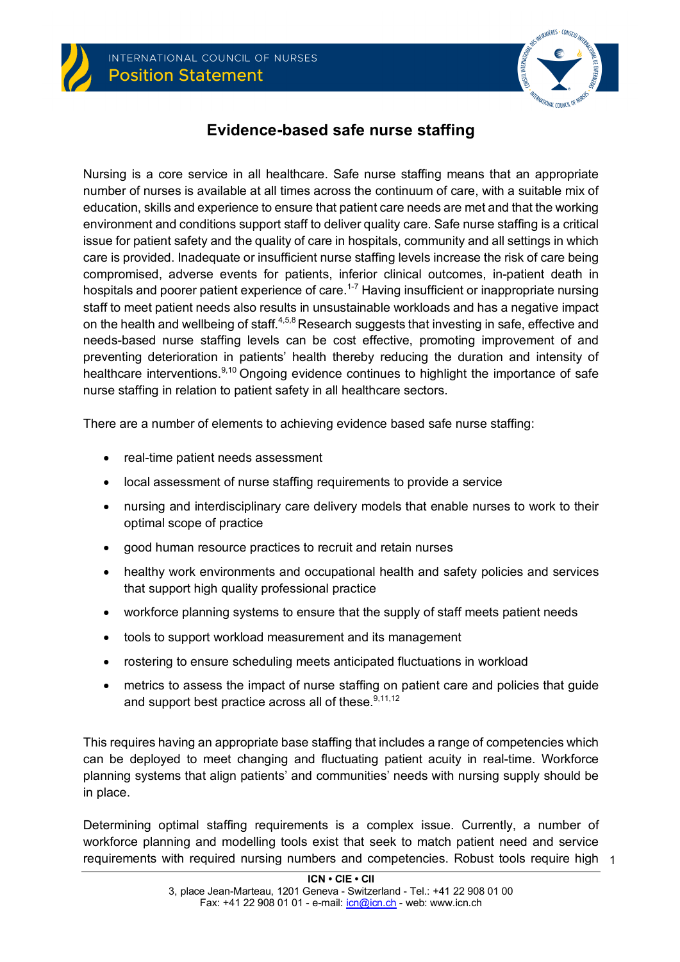



# **Evidence-based safe nurse staffing**

Nursing is a core service in all healthcare. Safe nurse staffing means that an appropriate number of nurses is available at all times across the continuum of care, with a suitable mix of education, skills and experience to ensure that patient care needs are met and that the working environment and conditions support staff to deliver quality care. Safe nurse staffing is a critical issue for patient safety and the quality of care in hospitals, community and all settings in which care is provided. Inadequate or insufficient nurse staffing levels increase the risk of care being compromised, adverse events for patients, inferior clinical outcomes, in-patient death in hospitals and poorer patient experience of care.<sup>1-7</sup> Having insufficient or inappropriate nursing staff to meet patient needs also results in unsustainable workloads and has a negative impact on the health and wellbeing of staff.<sup>4,5,8</sup> Research suggests that investing in safe, effective and needs-based nurse staffing levels can be cost effective, promoting improvement of and preventing deterioration in patients' health thereby reducing the duration and intensity of healthcare interventions.<sup>9,10</sup> Ongoing evidence continues to highlight the importance of safe nurse staffing in relation to patient safety in all healthcare sectors.

There are a number of elements to achieving evidence based safe nurse staffing:

- real-time patient needs assessment
- local assessment of nurse staffing requirements to provide a service
- nursing and interdisciplinary care delivery models that enable nurses to work to their optimal scope of practice
- good human resource practices to recruit and retain nurses
- healthy work environments and occupational health and safety policies and services that support high quality professional practice
- workforce planning systems to ensure that the supply of staff meets patient needs
- tools to support workload measurement and its management
- rostering to ensure scheduling meets anticipated fluctuations in workload
- metrics to assess the impact of nurse staffing on patient care and policies that quide and support best practice across all of these.<sup>9,11,12</sup>

This requires having an appropriate base staffing that includes a range of competencies which can be deployed to meet changing and fluctuating patient acuity in real-time. Workforce planning systems that align patients' and communities' needs with nursing supply should be in place.

requirements with required nursing numbers and competencies. Robust tools require high 1 Determining optimal staffing requirements is a complex issue. Currently, a number of workforce planning and modelling tools exist that seek to match patient need and service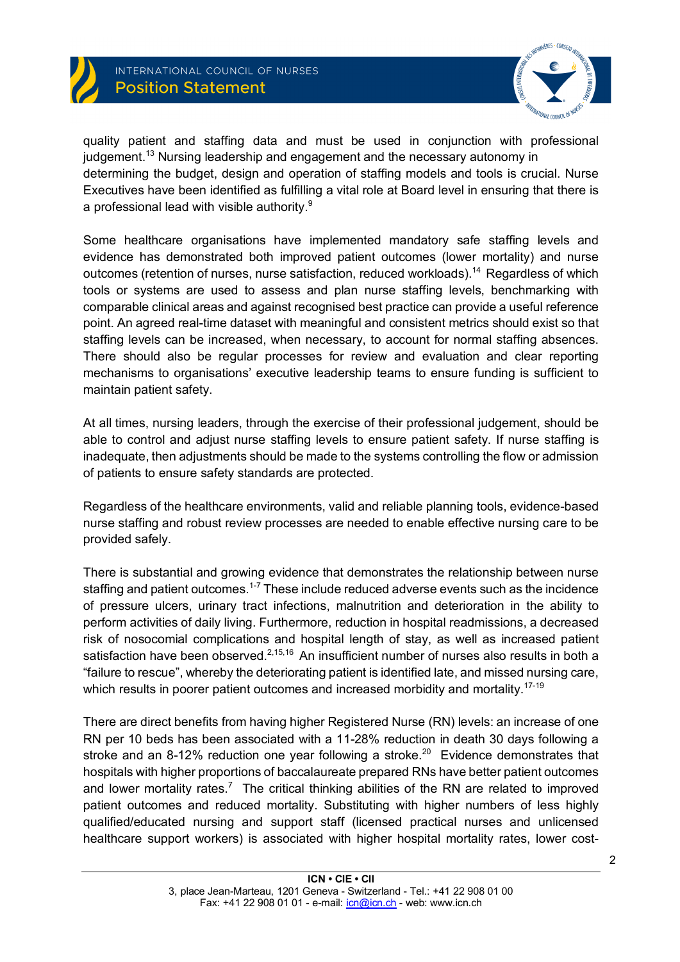



quality patient and staffing data and must be used in conjunction with professional judgement.<sup>13</sup> Nursing leadership and engagement and the necessary autonomy in determining the budget, design and operation of staffing models and tools is crucial. Nurse Executives have been identified as fulfilling a vital role at Board level in ensuring that there is a professional lead with visible authority.<sup>9</sup>

Some healthcare organisations have implemented mandatory safe staffing levels and evidence has demonstrated both improved patient outcomes (lower mortality) and nurse outcomes (retention of nurses, nurse satisfaction, reduced workloads).<sup>14</sup> Regardless of which tools or systems are used to assess and plan nurse staffing levels, benchmarking with comparable clinical areas and against recognised best practice can provide a useful reference point. An agreed real-time dataset with meaningful and consistent metrics should exist so that staffing levels can be increased, when necessary, to account for normal staffing absences. There should also be regular processes for review and evaluation and clear reporting mechanisms to organisations' executive leadership teams to ensure funding is sufficient to maintain patient safety.

At all times, nursing leaders, through the exercise of their professional judgement, should be able to control and adjust nurse staffing levels to ensure patient safety. If nurse staffing is inadequate, then adjustments should be made to the systems controlling the flow or admission of patients to ensure safety standards are protected.

Regardless of the healthcare environments, valid and reliable planning tools, evidence-based nurse staffing and robust review processes are needed to enable effective nursing care to be provided safely.

There is substantial and growing evidence that demonstrates the relationship between nurse staffing and patient outcomes.<sup>1-7</sup> These include reduced adverse events such as the incidence of pressure ulcers, urinary tract infections, malnutrition and deterioration in the ability to perform activities of daily living. Furthermore, reduction in hospital readmissions, a decreased risk of nosocomial complications and hospital length of stay, as well as increased patient satisfaction have been observed.<sup>2,15,16</sup> An insufficient number of nurses also results in both a "failure to rescue", whereby the deteriorating patient is identified late, and missed nursing care, which results in poorer patient outcomes and increased morbidity and mortality.<sup>17-19</sup>

There are direct benefits from having higher Registered Nurse (RN) levels: an increase of one RN per 10 beds has been associated with a 11-28% reduction in death 30 days following a stroke and an 8-12% reduction one year following a stroke.<sup>20</sup> Evidence demonstrates that hospitals with higher proportions of baccalaureate prepared RNs have better patient outcomes and lower mortality rates.<sup>7</sup> The critical thinking abilities of the RN are related to improved patient outcomes and reduced mortality. Substituting with higher numbers of less highly qualified/educated nursing and support staff (licensed practical nurses and unlicensed healthcare support workers) is associated with higher hospital mortality rates, lower cost-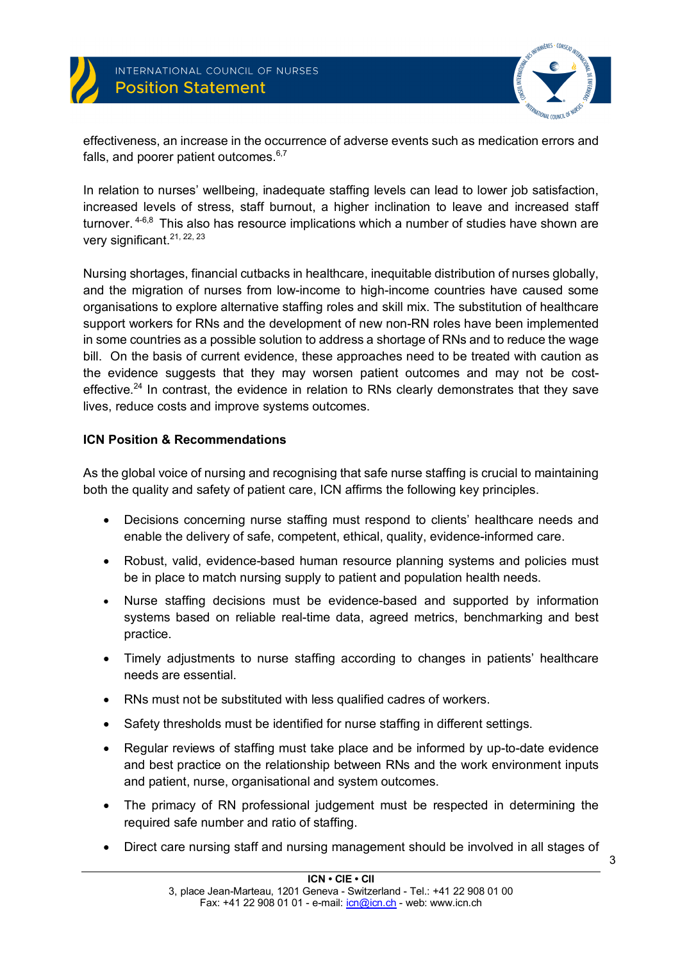

INTERNATIONAL COUNCIL OF NURSES **Position Statement** 



effectiveness, an increase in the occurrence of adverse events such as medication errors and falls, and poorer patient outcomes.<sup>6,7</sup>

In relation to nurses' wellbeing, inadequate staffing levels can lead to lower job satisfaction, increased levels of stress, staff burnout, a higher inclination to leave and increased staff turnover. <sup>4-6,8</sup> This also has resource implications which a number of studies have shown are very significant.<sup>21, 22, 23</sup>

Nursing shortages, financial cutbacks in healthcare, inequitable distribution of nurses globally, and the migration of nurses from low-income to high-income countries have caused some organisations to explore alternative staffing roles and skill mix. The substitution of healthcare support workers for RNs and the development of new non-RN roles have been implemented in some countries as a possible solution to address a shortage of RNs and to reduce the wage bill. On the basis of current evidence, these approaches need to be treated with caution as the evidence suggests that they may worsen patient outcomes and may not be costeffective.<sup>24</sup> In contrast, the evidence in relation to RNs clearly demonstrates that they save lives, reduce costs and improve systems outcomes.

#### **ICN Position & Recommendations**

As the global voice of nursing and recognising that safe nurse staffing is crucial to maintaining both the quality and safety of patient care, ICN affirms the following key principles.

- Decisions concerning nurse staffing must respond to clients' healthcare needs and enable the delivery of safe, competent, ethical, quality, evidence-informed care.
- Robust, valid, evidence-based human resource planning systems and policies must be in place to match nursing supply to patient and population health needs.
- Nurse staffing decisions must be evidence-based and supported by information systems based on reliable real-time data, agreed metrics, benchmarking and best practice.
- Timely adjustments to nurse staffing according to changes in patients' healthcare needs are essential.
- RNs must not be substituted with less qualified cadres of workers.
- Safety thresholds must be identified for nurse staffing in different settings.
- Regular reviews of staffing must take place and be informed by up-to-date evidence and best practice on the relationship between RNs and the work environment inputs and patient, nurse, organisational and system outcomes.
- The primacy of RN professional judgement must be respected in determining the required safe number and ratio of staffing.
- Direct care nursing staff and nursing management should be involved in all stages of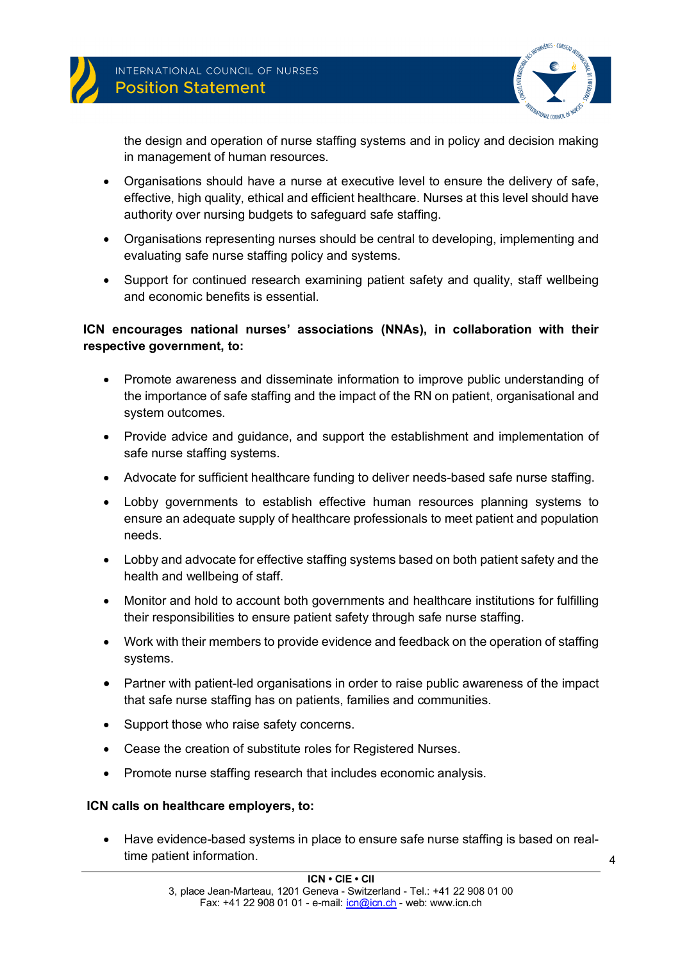

the design and operation of nurse staffing systems and in policy and decision making in management of human resources.

- Organisations should have a nurse at executive level to ensure the delivery of safe, effective, high quality, ethical and efficient healthcare. Nurses at this level should have authority over nursing budgets to safeguard safe staffing.
- Organisations representing nurses should be central to developing, implementing and evaluating safe nurse staffing policy and systems.
- Support for continued research examining patient safety and quality, staff wellbeing and economic benefits is essential.

## **ICN encourages national nurses' associations (NNAs), in collaboration with their respective government, to:**

- Promote awareness and disseminate information to improve public understanding of the importance of safe staffing and the impact of the RN on patient, organisational and system outcomes.
- Provide advice and guidance, and support the establishment and implementation of safe nurse staffing systems.
- Advocate for sufficient healthcare funding to deliver needs-based safe nurse staffing.
- Lobby governments to establish effective human resources planning systems to ensure an adequate supply of healthcare professionals to meet patient and population needs.
- Lobby and advocate for effective staffing systems based on both patient safety and the health and wellbeing of staff.
- Monitor and hold to account both governments and healthcare institutions for fulfilling their responsibilities to ensure patient safety through safe nurse staffing.
- Work with their members to provide evidence and feedback on the operation of staffing systems.
- Partner with patient-led organisations in order to raise public awareness of the impact that safe nurse staffing has on patients, families and communities.
- Support those who raise safety concerns.
- Cease the creation of substitute roles for Registered Nurses.
- Promote nurse staffing research that includes economic analysis.

### **ICN calls on healthcare employers, to:**

• Have evidence-based systems in place to ensure safe nurse staffing is based on realtime patient information.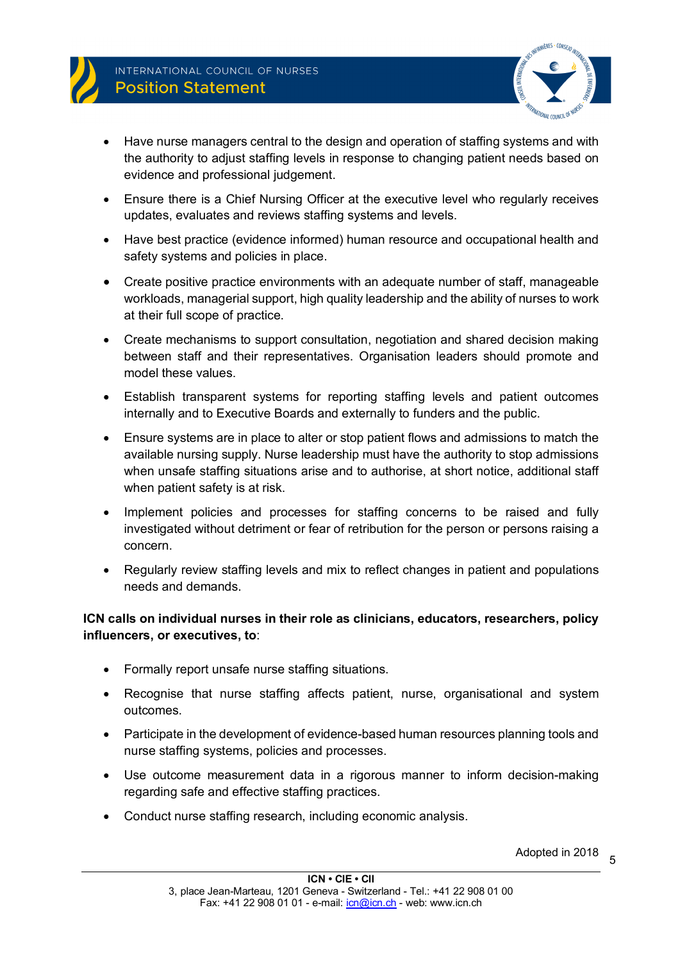

- Have nurse managers central to the design and operation of staffing systems and with the authority to adjust staffing levels in response to changing patient needs based on evidence and professional judgement.
- Ensure there is a Chief Nursing Officer at the executive level who regularly receives updates, evaluates and reviews staffing systems and levels.
- Have best practice (evidence informed) human resource and occupational health and safety systems and policies in place.
- Create positive practice environments with an adequate number of staff, manageable workloads, managerial support, high quality leadership and the ability of nurses to work at their full scope of practice.
- Create mechanisms to support consultation, negotiation and shared decision making between staff and their representatives. Organisation leaders should promote and model these values.
- Establish transparent systems for reporting staffing levels and patient outcomes internally and to Executive Boards and externally to funders and the public.
- Ensure systems are in place to alter or stop patient flows and admissions to match the available nursing supply. Nurse leadership must have the authority to stop admissions when unsafe staffing situations arise and to authorise, at short notice, additional staff when patient safety is at risk.
- Implement policies and processes for staffing concerns to be raised and fully investigated without detriment or fear of retribution for the person or persons raising a concern.
- Regularly review staffing levels and mix to reflect changes in patient and populations needs and demands.

### **ICN calls on individual nurses in their role as clinicians, educators, researchers, policy influencers, or executives, to**:

- Formally report unsafe nurse staffing situations.
- Recognise that nurse staffing affects patient, nurse, organisational and system outcomes.
- Participate in the development of evidence-based human resources planning tools and nurse staffing systems, policies and processes.
- Use outcome measurement data in a rigorous manner to inform decision-making regarding safe and effective staffing practices.
- Conduct nurse staffing research, including economic analysis.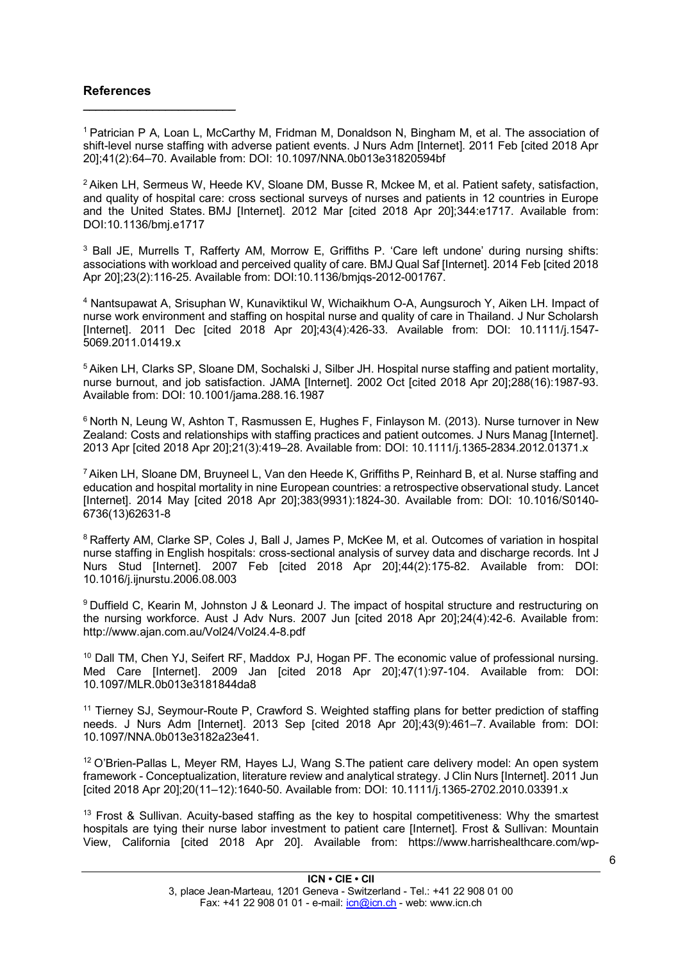#### **References**

 $\mathcal{L}_\text{max}$  , where  $\mathcal{L}_\text{max}$  is the set of the set of the set of the set of the set of the set of the set of the set of the set of the set of the set of the set of the set of the set of the set of the set of the se

1 Patrician P A, Loan L, McCarthy M, Fridman M, Donaldson N, Bingham M, et al. The association of shift-level nurse staffing with adverse patient events. J Nurs Adm [Internet]. 2011 Feb [cited 2018 Apr 20];41(2):64–70. Available from: DOI: 10.1097/NNA.0b013e31820594bf

 $2$  Aiken LH, Sermeus W, Heede KV, Sloane DM, Busse R, Mckee M, et al. Patient safety, satisfaction, and quality of hospital care: cross sectional surveys of nurses and patients in 12 countries in Europe and the United States. BMJ [Internet]. 2012 Mar [cited 2018 Apr 20];344:e1717. Available from: DOI:10.1136/bmj.e1717

<sup>3</sup> Ball JE, Murrells T, Rafferty AM, Morrow E, Griffiths P. 'Care left undone' during nursing shifts: associations with workload and perceived quality of care. BMJ Qual Saf [Internet]. 2014 Feb [cited 2018 Apr 20];23(2):116-25. Available from: DOI:10.1136/bmjqs-2012-001767.

<sup>4</sup> Nantsupawat A, Srisuphan W, Kunaviktikul W, Wichaikhum O-A, Aungsuroch Y, Aiken LH. Impact of nurse work environment and staffing on hospital nurse and quality of care in Thailand. J Nur Scholarsh [Internet]. 2011 Dec [cited 2018 Apr 20];43(4):426-33. Available from: DOI: 10.1111/j.1547- 5069.2011.01419.x

5 Aiken LH, Clarks SP, Sloane DM, Sochalski J, Silber JH. Hospital nurse staffing and patient mortality, nurse burnout, and job satisfaction. JAMA [Internet]. 2002 Oct [cited 2018 Apr 20];288(16):1987-93. Available from: DOI: 10.1001/jama.288.16.1987

6 North N, Leung W, Ashton T, Rasmussen E, Hughes F, Finlayson M. (2013). Nurse turnover in New Zealand: Costs and relationships with staffing practices and patient outcomes. J Nurs Manag [Internet]. 2013 Apr [cited 2018 Apr 20];21(3):419–28. Available from: DOI: 10.1111/j.1365-2834.2012.01371.x

7 Aiken LH, Sloane DM, Bruyneel L, Van den Heede K, Griffiths P, Reinhard B, et al. Nurse staffing and education and hospital mortality in nine European countries: a retrospective observational study. Lancet [Internet]. 2014 May [cited 2018 Apr 20];383(9931):1824-30. Available from: DOI: 10.1016/S0140- 6736(13)62631-8

<sup>8</sup> Rafferty AM, Clarke SP, Coles J, Ball J, James P, McKee M, et al. Outcomes of variation in hospital nurse staffing in English hospitals: cross-sectional analysis of survey data and discharge records. Int J Nurs Stud [Internet]. 2007 Feb [cited 2018 Apr 20];44(2):175-82. Available from: DOI: 10.1016/j.ijnurstu.2006.08.003

<sup>9</sup> Duffield C, Kearin M, Johnston J & Leonard J. The impact of hospital structure and restructuring on the nursing workforce. Aust J Adv Nurs. 2007 Jun [cited 2018 Apr 20];24(4):42-6. Available from: http://www.ajan.com.au/Vol24/Vol24.4-8.pdf

<sup>10</sup> Dall TM, Chen YJ, Seifert RF, Maddox PJ, Hogan PF. The economic value of professional nursing. Med Care [Internet]. 2009 Jan [cited 2018 Apr 20];47(1):97-104. Available from: DOI: 10.1097/MLR.0b013e3181844da8

<sup>11</sup> Tierney SJ, Seymour-Route P, Crawford S. Weighted staffing plans for better prediction of staffing needs. J Nurs Adm [Internet]. 2013 Sep [cited 2018 Apr 20];43(9):461–7. Available from: DOI: 10.1097/NNA.0b013e3182a23e41.

<sup>12</sup> O'Brien-Pallas L, Meyer RM, Hayes LJ, Wang S. The patient care delivery model: An open system framework - Conceptualization, literature review and analytical strategy. J Clin Nurs [Internet]. 2011 Jun [cited 2018 Apr 20];20(11–12):1640-50. Available from: DOI: 10.1111/j.1365-2702.2010.03391.x

<sup>13</sup> Frost & Sullivan. Acuity-based staffing as the key to hospital competitiveness: Why the smartest hospitals are tying their nurse labor investment to patient care [Internet]. Frost & Sullivan: Mountain View, California [cited 2018 Apr 20]. Available from: https://www.harrishealthcare.com/wp